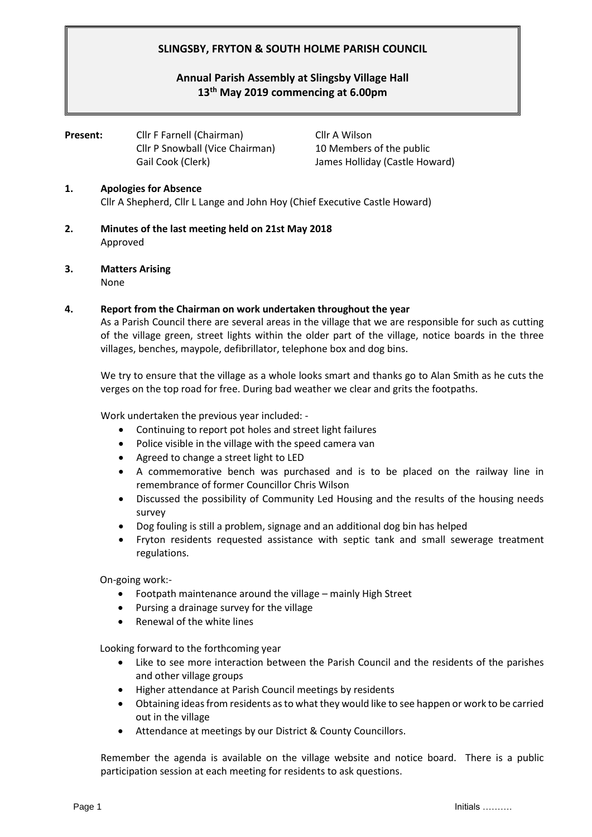# **SLINGSBY, FRYTON & SOUTH HOLME PARISH COUNCIL**

# **Annual Parish Assembly at Slingsby Village Hall 13th May 2019 commencing at 6.00pm**

**Present:** Cllr F Farnell (Chairman) Cllr A Wilson Cllr P Snowball (Vice Chairman) 10 Members of the public Gail Cook (Clerk) James Holliday (Castle Howard)

## **1. Apologies for Absence** Cllr A Shepherd, Cllr L Lange and John Hoy (Chief Executive Castle Howard)

- **2. Minutes of the last meeting held on 21st May 2018** Approved
- **3. Matters Arising**  None

### **4. Report from the Chairman on work undertaken throughout the year**

As a Parish Council there are several areas in the village that we are responsible for such as cutting of the village green, street lights within the older part of the village, notice boards in the three villages, benches, maypole, defibrillator, telephone box and dog bins.

We try to ensure that the village as a whole looks smart and thanks go to Alan Smith as he cuts the verges on the top road for free. During bad weather we clear and grits the footpaths.

Work undertaken the previous year included: -

- Continuing to report pot holes and street light failures
- Police visible in the village with the speed camera van
- Agreed to change a street light to LED
- A commemorative bench was purchased and is to be placed on the railway line in remembrance of former Councillor Chris Wilson
- Discussed the possibility of Community Led Housing and the results of the housing needs survey
- Dog fouling is still a problem, signage and an additional dog bin has helped
- Fryton residents requested assistance with septic tank and small sewerage treatment regulations.

On-going work:-

- Footpath maintenance around the village mainly High Street
- Pursing a drainage survey for the village
- Renewal of the white lines

Looking forward to the forthcoming year

- Like to see more interaction between the Parish Council and the residents of the parishes and other village groups
- Higher attendance at Parish Council meetings by residents
- Obtaining ideas from residents as to what they would like to see happen or work to be carried out in the village
- Attendance at meetings by our District & County Councillors.

Remember the agenda is available on the village website and notice board. There is a public participation session at each meeting for residents to ask questions.